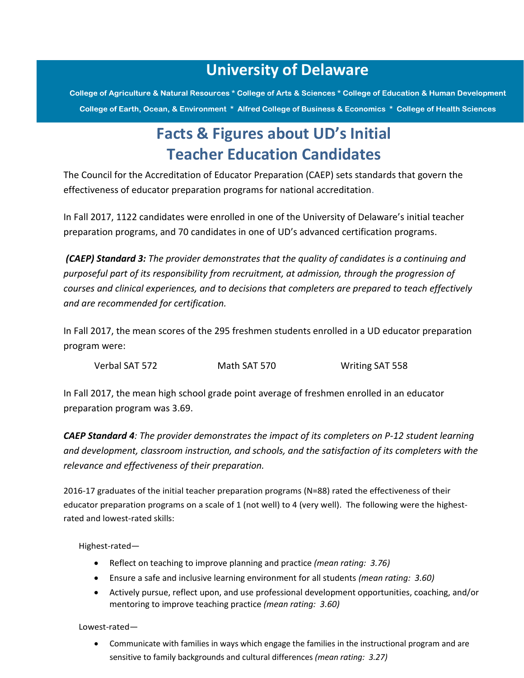## **University of Delaware**

College of Agriculture & Natural Resources \* College of Arts & Sciences \* College of Education & Human Development College of Earth, Ocean, & Environment \* Alfred College of Business & Economics \* College of Health Sciences

## **Facts & Figures about UD's Initial Teacher Education Candidates**

The Council for the Accreditation of Educator Preparation (CAEP) sets standards that govern the effectiveness of educator preparation programs for national accreditation.

In Fall 2017, 1122 candidates were enrolled in one of the University of Delaware's initial teacher preparation programs, and 70 candidates in one of UD's advanced certification programs.

*(CAEP) Standard 3: The provider demonstrates that the quality of candidates is a continuing and purposeful part of its responsibility from recruitment, at admission, through the progression of courses and clinical experiences, and to decisions that completers are prepared to teach effectively and are recommended for certification.*

In Fall 2017, the mean scores of the 295 freshmen students enrolled in a UD educator preparation program were:

Verbal SAT 572 Math SAT 570 Writing SAT 558

In Fall 2017, the mean high school grade point average of freshmen enrolled in an educator preparation program was 3.69.

*CAEP Standard 4: The provider demonstrates the impact of its completers on P-12 student learning and development, classroom instruction, and schools, and the satisfaction of its completers with the relevance and effectiveness of their preparation.*

2016-17 graduates of the initial teacher preparation programs (N=88) rated the effectiveness of their educator preparation programs on a scale of 1 (not well) to 4 (very well). The following were the highestrated and lowest-rated skills:

Highest-rated—

- Reflect on teaching to improve planning and practice *(mean rating: 3.76)*
- Ensure a safe and inclusive learning environment for all students *(mean rating: 3.60)*
- Actively pursue, reflect upon, and use professional development opportunities, coaching, and/or mentoring to improve teaching practice *(mean rating: 3.60)*

Lowest-rated—

 Communicate with families in ways which engage the families in the instructional program and are sensitive to family backgrounds and cultural differences *(mean rating: 3.27)*